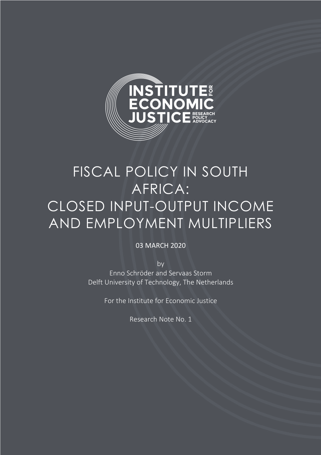

# FISCAL POLICY IN SOUTH AFRICA: CLOSED INPUT-OUTPUT INCOME AND EMPLOYMENT MULTIPLIERS

### 03 MARCH 2020

by Enno Schröder and Servaas Storm Delft University of Technology, The Netherlands

For the Institute for Economic Justice

Research Note No. 1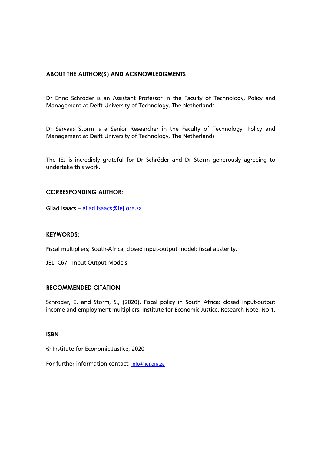#### **ABOUT THE AUTHOR(S) AND ACKNOWLEDGMENTS**

Dr Enno Schröder is an Assistant Professor in the Faculty of Technology, Policy and Management at Delft University of Technology, The Netherlands

Dr Servaas Storm is a Senior Researcher in the Faculty of Technology, Policy and Management at Delft University of Technology, The Netherlands

The IEJ is incredibly grateful for Dr Schröder and Dr Storm generously agreeing to undertake this work.

#### **CORRESPONDING AUTHOR:**

Gilad Isaacs - gilad.isaacs@iej.org.za

#### **KEYWORDS:**

Fiscal multipliers; South-Africa; closed input-output model; fiscal austerity.

JEL: C67 - Input-Output Models

#### **RECOMMENDED CITATION**

Schröder, E. and Storm, S., (2020). Fiscal policy in South Africa: closed input-output income and employment multipliers. Institute for Economic Justice, Research Note, No 1.

#### **ISBN**

© Institute for Economic Justice, 2020

For further information contact: info@iej.org.za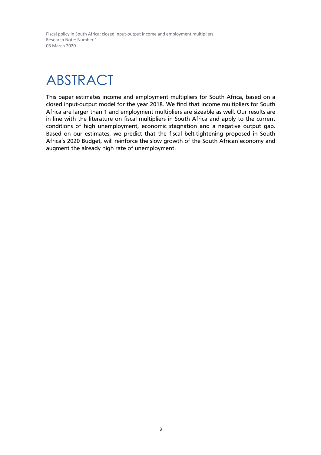# ABSTRACT

This paper estimates income and employment multipliers for South Africa, based on a closed input-output model for the year 2018. We find that income multipliers for South Africa are larger than 1 and employment multipliers are sizeable as well. Our results are in line with the literature on fiscal multipliers in South Africa and apply to the current conditions of high unemployment, economic stagnation and a negative output gap. Based on our estimates, we predict that the fiscal belt-tightening proposed in South Africa's 2020 Budget, will reinforce the slow growth of the South African economy and augment the already high rate of unemployment.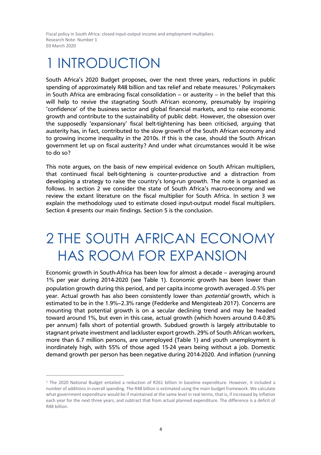## **INTRODUCTION**

South Africa's 2020 Budget proposes, over the next three years, reductions in public spending of approximately R48 billion and tax relief and rebate measures.<sup>1</sup> Policymakers in South Africa are embracing fiscal consolidation — or austerity — in the belief that this will help to revive the stagnating South African economy, presumably by inspiring 'confidence' of the business sector and global financial markets, and to raise economic growth and contribute to the sustainability of public debt. However, the obsession over the supposedly 'expansionary' fiscal belt-tightening has been criticised, arguing that austerity has, in fact, contributed to the slow growth of the South African economy and to growing income inequality in the 2010s. If this is the case, should the South African government let up on fiscal austerity? And under what circumstances would it be wise to do so?

This note argues, on the basis of new empirical evidence on South African multipliers, that continued fiscal belt-tightening is counter-productive and a distraction from developing a strategy to raise the country's long-run growth. The note is organised as follows. In section 2 we consider the state of South Africa's macro-economy and we review the extant literature on the fiscal multiplier for South Africa. In section 3 we explain the methodology used to estimate closed input-output model fiscal multipliers. Section 4 presents our main findings. Section 5 is the conclusion.

### 2 THE SOUTH AFRICAN ECONOMY HAS ROOM FOR EXPANSION

Economic growth in South-Africa has been low for almost a decade — averaging around 1% per year during 2014-2020 (see Table 1). Economic growth has been lower than population growth during this period, and per capita income growth averaged ˗0.5% per year. Actual growth has also been consistently lower than *potential* growth, which is estimated to be in the 1.9%—2.3% range (Fedderke and Mengisteab 2017). Concerns are mounting that potential growth is on a secular declining trend and may be headed toward around 1%, but even in this case, actual growth (which hovers around 0.4-0.8% per annum) falls short of potential growth. Subdued growth is largely attributable to stagnant private investment and lackluster export growth. 29% of South African workers, more than 6.7 million persons, are unemployed (Table 1) and youth unemployment is inordinately high, with 55% of those aged 15-24 years being without a job. Domestic demand growth per person has been negative during 2014-2020. And inflation (running

<sup>1</sup> The 2020 National Budget entailed a reduction of R261 billion in baseline expenditure. However, it included a number of additions in overall spending. The R48 billion is estimated using the main budget framework. We calculate what government expenditure would be if maintained at the same level in real terms, that is, if increased by inflation each year for the next three years, and subtract that from actual planned expenditure. The difference is a deficit of R48 billion.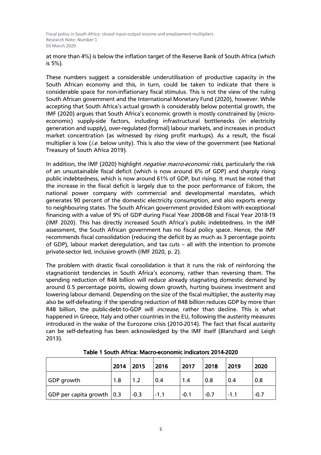at more than 4%) is below the inflation target of the Reserve Bank of South Africa (which is 5%).

These numbers suggest a considerable underutilisation of productive capacity in the South African economy and this, in turn, could be taken to indicate that there is considerable space for non-inflationary fiscal stimulus. This is not the view of the ruling South African government and the International Monetary Fund (2020), however. While accepting that South Africa's actual growth is considerably below potential growth, the IMF (2020) argues that South Africa's economic growth is mostly constrained by (microeconomic) supply-side factors, including infrastructural bottlenecks (in electricity generation and supply), over-regulated (formal) labour markets, and increases in product market concentration (as witnessed by rising profit markups). As a result, the fiscal multiplier is low (*i.e.* below unity). This is also the view of the government (see National Treasury of South Africa 2019).

In addition, the IMF (2020) highlight *negative macro-economic risks*, particularly the risk of an unsustainable fiscal deficit (which is now around 6% of GDP) and sharply rising public indebtedness, which is now around 61% of GDP, but rising. It must be noted that the increase in the fiscal deficit is largely due to the poor performance of Eskom, the national power company with commercial and developmental mandates, which generates 90 percent of the domestic electricity consumption, and also exports energy to neighbouring states. The South African government provided Eskom with exceptional financing with a value of 9% of GDP during Fiscal Year 2008-08 and Fiscal Year 2018-19 (IMF 2020). This has directly increased South Africa's public indebtedness. In the IMF assessment, the South African government has no fiscal policy space. Hence, the IMF recommends fiscal consolidation (reducing the deficit by as much as 3 percentage points of GDP), labour market deregulation, and tax cuts — all with the intention to promote private-sector led, inclusive growth (IMF 2020, p. 2).

The problem with drastic fiscal consolidation is that it runs the risk of reinforcing the stagnationist tendencies in South Africa's economy, rather than reversing them. The spending reduction of R48 billion will reduce already stagnating domestic demand by around 0.5 percentage points, slowing down growth, hurting business investment and lowering labour demand. Depending on the size of the fiscal multiplier, the austerity may also be self-defeating: if the spending reduction of R48 billion reduces GDP by more than R48 billion, the public-debt-to-GDP will *increase*, rather than decline. This is what happened in Greece, Italy and other countries in the EU, following the austerity measures introduced in the wake of the Eurozone crisis (2010-2014). The fact that fiscal austerity can be self-defeating has been acknowledged by the IMF itself (Blanchard and Leigh 2013).

|                                  | 2014 | 2015   | 2016   | 2017   | 2018   | 2019   | 2020   |
|----------------------------------|------|--------|--------|--------|--------|--------|--------|
| GDP growth                       | 1.8  | 1.2    | 0.4    | 1.4    | 0.8    | 0.4    | 0.8    |
| $ GDP$ per capita growth $ 0.3 $ |      | $-0.3$ | $-1.1$ | $-0.1$ | $-0.7$ | $-1.1$ | $-0.7$ |

Table 1 South Africa: Macro-economic indicators 2014-2020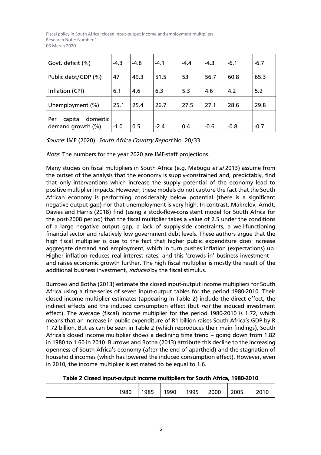| Govt. deficit (%)                              | $-4.3$ | $-4.8$ | $-4.1$ | $-4.4$ | $-4.3$ | $-6.1$ | $-6.7$ |
|------------------------------------------------|--------|--------|--------|--------|--------|--------|--------|
| Public debt/GDP (%)                            | 47     | 49.3   | 51.5   | 53     | 56.7   | 60.8   | 65.3   |
| Inflation (CPI)                                | 6.1    | 4.6    | 6,3    | 5.3    | 4.6    | 4.2    | 5.2    |
| Unemployment (%)                               | 25.1   | 25.4   | 26.7   | 27.5   | 27.1   | 28.6   | 29.8   |
| domestic<br>capita<br>Per<br>demand growth (%) | $-1.0$ | 0.5    | $-2.4$ | 0.4    | $-0.6$ | $-0.8$ | $-0.7$ |

Source: IMF (2020). South Africa Country Report No. 20/33.

Note: The numbers for the year 2020 are IMF-staff projections.

Many studies on fiscal multipliers in South Africa (e.g. Mabugu *et al* 2013) assume from the outset of the analysis that the economy is supply-constrained and, predictably, find that only interventions which increase the supply potential of the economy lead to positive multiplier impacts. However, these models do not capture the fact that the South African economy is performing considerably below potential (there is a significant negative output gap) nor that unemployment is very high. In contrast, Makrelov, Arndt, Davies and Harris (2018) find (using a stock-flow-consistent model for South Africa for the post-2008 period) that the fiscal multiplier takes a value of 2.5 under the conditions of a large negative output gap, a lack of supply-side constraints, a well-functioning financial sector and relatively low government debt levels. These authors argue that the high fiscal multiplier is due to the fact that higher public expenditure does increase aggregate demand and employment, which in turn pushes inflation (expectations) up. Higher inflation reduces real interest rates, and this 'crowds in' business investment – and raises economic growth further. The high fiscal multiplier is mostly the result of the additional business investment, induced by the fiscal stimulus.

Burrows and Botha (2013) estimate the closed input-output income multipliers for South Africa using a time-series of seven input-output tables for the period 1980-2010. Their closed income multiplier estimates (appearing in Table 2) include the direct effect, the indirect effects and the induced consumption effect (but *not* the induced investment effect). The average (fiscal) income multiplier for the period 1980-2010 is 1.72, which means that an increase in public expenditure of R1 billion raises South Africa's GDP by R 1.72 billion. But as can be seen in Table 2 (which reproduces their main findings), South Africa's closed income multiplier shows a declining time trend — going down from 1.82 in 1980 to 1.60 in 2010. Burrows and Botha (2013) attribute this decline to the increasing openness of South Africa's economy (after the end of apartheid) and the stagnation of household incomes (which has lowered the induced consumption effect). However, even in 2010, the income multiplier is estimated to be equal to 1.6.

Table 2 Closed input-output income multipliers for South Africa, 1980-2010

|  | 1980 | 1985 | 1990 | 1995 | 2000 | 2005 | 2010 |
|--|------|------|------|------|------|------|------|
|--|------|------|------|------|------|------|------|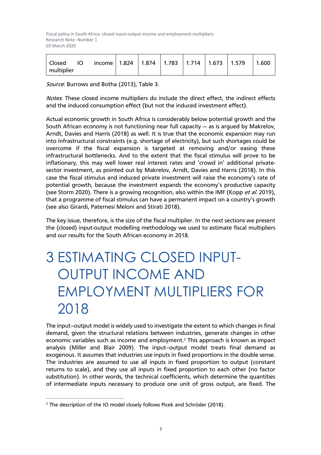| income   1.824   1.874   1.783   1.714   1.673   1.579<br>  Closed<br><b>IO</b><br>multiplier |  |  |  |  |  |  | 1.600 |
|-----------------------------------------------------------------------------------------------|--|--|--|--|--|--|-------|
|-----------------------------------------------------------------------------------------------|--|--|--|--|--|--|-------|

Source: Burrows and Botha (2013), Table 3.

Notes: These closed income multipliers do include the direct effect, the indirect effects and the induced consumption effect (but not the induced investment effect).

Actual economic growth in South Africa is considerably below potential growth and the South African economy is not functioning near full capacity – as is argued by Makrelov, Arndt, Davies and Harris (2018) as well. It is true that the economic expansion may run into infrastructural constraints (e.g. shortage of electricity), but such shortages could be overcome if the fiscal expansion is targeted at removing and/or easing these infrastructural bottlenecks. And to the extent that the fiscal stimulus will prove to be inflationary, this may well lower real interest rates and 'crowd in' additional privatesector investment, as pointed out by Makrelov, Arndt, Davies and Harris (2018). In this case the fiscal stimulus and induced private investment will raise the economy's rate of potential growth, because the investment expands the economy's productive capacity (see Storm 2020). There is a growing recognition, also within the IMF (Kopp et al. 2019), that a programme of fiscal stimulus can have a permanent impact on a country's growth (see also Girardi, Paternesi Meloni and Stirati 2018).

The key issue, therefore, is the size of the fiscal multiplier. In the next sections we present the (closed) input-output modelling methodology we used to estimate fiscal multipliers and our results for the South African economy in 2018.

# 3 ESTIMATING CLOSED INPUT-OUTPUT INCOME AND EMPLOYMENT MULTIPLIERS FOR 2018

The input—output model is widely used to investigate the extent to which changes in final demand, given the structural relations between industries, generate changes in other economic variables such as income and employment.<sup>2</sup> This approach is known as impact analysis (Miller and Blair 2009). The input—output model treats final demand as exogenous. It assumes that industries use inputs in fixed proportions in the double sense. The industries are assumed to use all inputs in fixed proportion to output (constant returns to scale), and they use all inputs in fixed proportion to each other (no factor substitution). In other words, the technical coefficients, which determine the quantities of intermediate inputs necessary to produce one unit of gross output, are fixed. The

<sup>&</sup>lt;sup>2</sup> The description of the IO model closely follows Picek and Schröder (2018).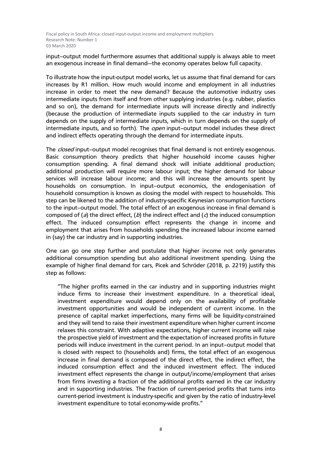input—output model furthermore assumes that additional supply is always able to meet an exogenous increase in final demand–the economy operates below full capacity.

To illustrate how the input-output model works, let us assume that final demand for cars increases by R1 million. How much would income and employment in all industries increase in order to meet the new demand? Because the automotive industry uses intermediate inputs from itself and from other supplying industries (e.g. rubber, plastics and so on), the demand for intermediate inputs will increase directly and indirectly (because the production of intermediate inputs supplied to the car industry in turn depends on the supply of intermediate inputs, which in turn depends on the supply of intermediate inputs, and so forth). The *open* input–output model includes these direct and indirect effects operating through the demand for intermediate inputs.

The *closed* input–output model recognises that final demand is not entirely exogenous. Basic consumption theory predicts that higher household income causes higher consumption spending. A final demand shock will initiate additional production; additional production will require more labour input; the higher demand for labour services will increase labour income; and this will increase the amounts spent by households on consumption. In input—output economics, the endogenisation of household consumption is known as closing the model with respect to households. This step can be likened to the addition of industry-specific Keynesian consumption functions to the input—output model. The total effect of an exogenous increase in final demand is composed of (*a*) the direct effect, (*b*) the indirect effect and (*c*) the induced consumption effect. The induced consumption effect represents the change in income and employment that arises from households spending the increased labour income earned in (say) the car industry and in supporting industries.

One can go one step further and postulate that higher income not only generates additional consumption spending but also additional investment spending. Using the example of higher final demand for cars, Picek and Schröder (2018, p. 2219) justify this step as follows:

"The higher profits earned in the car industry and in supporting industries might induce firms to increase their investment expenditure. In a theoretical ideal, investment expenditure would depend only on the availability of profitable investment opportunities and would be independent of current income. In the presence of capital market imperfections, many firms will be liquidity-constrained and they will tend to raise their investment expenditure when higher current income relaxes this constraint. With adaptive expectations, higher current income will raise the prospective yield of investment and the expectation of increased profits in future periods will induce investment in the current period. In an input—output model that is closed with respect to (households and) firms, the total effect of an exogenous increase in final demand is composed of the direct effect, the indirect effect, the induced consumption effect and the induced investment effect. The induced investment effect represents the change in output/income/employment that arises from firms investing a fraction of the additional profits earned in the car industry and in supporting industries. The fraction of current-period profits that turns into current-period investment is industry-specific and given by the ratio of industry-level investment expenditure to total economy-wide profits."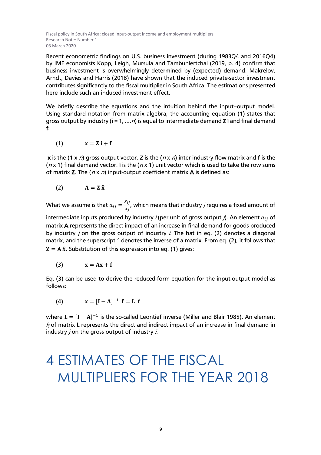Recent econometric findings on U.S. business investment (during 1983Q4 and 2016Q4) by IMF economists Kopp, Leigh, Mursula and Tambunlertchai (2019, p. 4) confirm that business investment is overwhelmingly determined by (expected) demand. Makrelov, Arndt, Davies and Harris (2018) have shown that the induced private-sector investment contributes significantly to the fiscal multiplier in South Africa. The estimations presented here include such an induced investment effect.

We briefly describe the equations and the intuition behind the input—output model. Using standard notation from matrix algebra, the accounting equation (1) states that gross output by industry ( $i = 1, ..., n$ ) is equal to intermediate demand Z i and final demand f:

$$
(1) \qquad \qquad x = Z \, i + f
$$

**x** is the (1 x n) gross output vector, **Z** is the ( $n \times n$ ) inter-industry flow matrix and f is the ( $nx$  1) final demand vector. I is the ( $nx$  1) unit vector which is used to take the row sums of matrix Z. The  $(n \times n)$  input-output coefficient matrix A is defined as:

$$
(2) \hspace{1cm} A = Z \hat{X}^{-1}
$$

What we assume is that  $a_{ij} = \frac{z_{ij}}{x_j}$ , which means that industry  $j$  requires a fixed amount of

intermediate inputs produced by industry *i* (per unit of gross output *j*). An element  $a_{ij}$  of matrix A represents the direct impact of an increase in final demand for goods produced by industry  $j$  on the gross output of industry  $i$ . The hat in eq. (2) denotes a diagonal matrix, and the superscript <sup>-1</sup> denotes the inverse of a matrix. From eq. (2), it follows that  $Z = A \hat{x}$ . Substitution of this expression into eq. (1) gives:

$$
(3) \t x = Ax + f
$$

Eq. (3) can be used to derive the reduced-form equation for the input-output model as follows:

(4)  $X = [I - A]^{-1} f = L f$ 

where  $\mathbf{L} = [\mathbf{I} - \mathbf{A}]^{-1}$  is the so-called Leontief inverse (Miller and Blair 1985). An element  $l_{ii}$  of matrix L represents the direct and indirect impact of an increase in final demand in industry  $j$  on the gross output of industry  $i$ .

## 4 ESTIMATES OF THE FISCAL MULTIPLIERS FOR THE YEAR 2018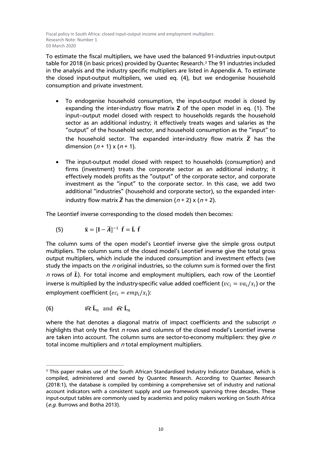To estimate the fiscal multipliers, we have used the balanced 91-industries input-output table for 2018 (in basic prices) provided by Quantec Research.3 The 91 industries included in the analysis and the industry specific multipliers are listed in Appendix A. To estimate the closed input-output multipliers, we used eq. (4), but we endogenise household consumption and private investment.

- To endogenise household consumption, the input-output model is closed by expanding the inter-industry flow matrix Z of the open model in eq. (1). The input—output model closed with respect to households regards the household sector as an additional industry; it effectively treats wages and salaries as the "output" of the household sector, and household consumption as the "input" to the household sector. The expanded inter-industry flow matrix  $\overline{Z}$  has the dimension  $(n + 1) \times (n + 1)$ .
- The input-output model closed with respect to households (consumption) and firms (investment) treats the corporate sector as an additional industry; it effectively models profits as the "output" of the corporate sector, and corporate investment as the "input" to the corporate sector. In this case, we add two additional "industries" (household and corporate sector), so the expanded interindustry flow matrix  $\overline{Z}$  has the dimension (n + 2) x (n + 2).

The Leontief inverse corresponding to the closed models then becomes:

(5) 
$$
\overline{\mathbf{x}} = [\mathbf{I} - \overline{\mathbf{A}}]^{-1} \overline{\mathbf{f}} = \overline{\mathbf{L}} \overline{\mathbf{f}}
$$

The column sums of the open model's Leontief inverse give the simple gross output multipliers. The column sums of the closed model's Leontief inverse give the total gross output multipliers, which include the induced consumption and investment effects (we study the impacts on the  $n$  original industries, so the column sum is formed over the first *n* rows of  $\bar{L}$ ). For total income and employment multipliers, each row of the Leontief inverse is multiplied by the industry-specific value added coefficient ( $vc_i = va_i/x_i$ ) or the employment coefficient ( $ec_i = emp_i/x_i$ ):

(6) 
$$
\widehat{vc} \overline{L}_n
$$
 and  $\widehat{ec} \overline{L}_n$ 

where the hat denotes a diagonal matrix of impact coefficients and the subscript  $n$ highlights that only the first  $n$  rows and columns of the closed model's Leontief inverse are taken into account. The column sums are sector-to-economy multipliers: they give  $n$ total income multipliers and  $n$  total employment multipliers.

<sup>&</sup>lt;sup>3</sup> This paper makes use of the South African Standardised Industry Indicator Database, which is compiled, administered and owned by Quantec Research. According to Quantec Research (2018:1), the database is compiled by combining a comprehensive set of industry and national account indicators with a consistent supply and use framework spanning three decades. These input-output tables are commonly used by academics and policy makers working on South Africa (e.g. Burrows and Botha 2013).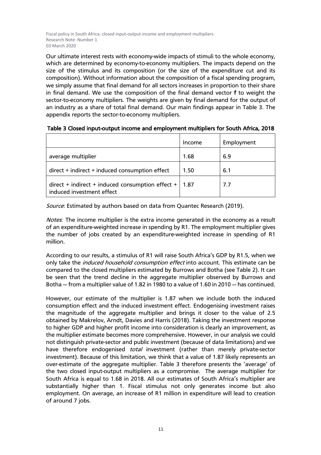Our ultimate interest rests with economy-wide impacts of stimuli to the whole economy, which are determined by economy-to-economy multipliers. The impacts depend on the size of the stimulus and its composition (or the size of the expenditure cut and its composition). Without information about the composition of a fiscal spending program, we simply assume that final demand for all sectors increases in proportion to their share in final demand. We use the composition of the final demand vector f to weight the sector-to-economy multipliers. The weights are given by final demand for the output of an industry as a share of total final demand. Our main findings appear in Table 3. The appendix reports the sector-to-economy multipliers.

|                                                                                   | Income | Employment |
|-----------------------------------------------------------------------------------|--------|------------|
| average multiplier                                                                | 1.68   | 6.9        |
| direct + indirect + induced consumption effect                                    | 1.50   | 6.1        |
| $direct + indirect + induced consumption effect +  $<br>induced investment effect | 1.87   | 7.7        |

| Table 3 Closed input-output income and employment multipliers for South Africa, 2018 |  |  |
|--------------------------------------------------------------------------------------|--|--|
|--------------------------------------------------------------------------------------|--|--|

Source: Estimated by authors based on data from Quantec Research (2019).

Notes. The income multiplier is the extra income generated in the economy as a result of an expenditure-weighted increase in spending by R1. The employment multiplier gives the number of jobs created by an expenditure-weighted increase in spending of R1 million.

According to our results, a stimulus of R1 will raise South Africa's GDP by R1.5, when we only take the *induced household consumption effect* into account. This estimate can be compared to the closed multipliers estimated by Burrows and Botha (see Table 2). It can be seen that the trend decline in the aggregate multiplier observed by Burrows and Botha – from a multiplier value of 1.82 in 1980 to a value of 1.60 in 2010 – has continued.

However, our estimate of the multiplier is 1.87 when we include both the induced consumption effect and the induced investment effect. Endogenising investment raises the magnitude of the aggregate multiplier and brings it closer to the value of 2.5 obtained by Makrelov, Arndt, Davies and Harris (2018). Taking the investment response to higher GDP and higher profit income into consideration is clearly an improvement, as the multiplier estimate becomes more comprehensive. However, in our analysis we could not distinguish private-sector and public investment (because of data limitations) and we have therefore endogenised *total* investment (rather than merely private-sector investment). Because of this limitation, we think that a value of 1.87 likely represents an over-estimate of the aggregate multiplier. Table 3 therefore presents the 'average' of the two closed input-output multipliers as a compromise. The average multiplier for South Africa is equal to 1.68 in 2018. All our estimates of South Africa's multiplier are substantially higher than 1. Fiscal stimulus not only generates income but also employment. On average, an increase of R1 million in expenditure will lead to creation of around 7 jobs.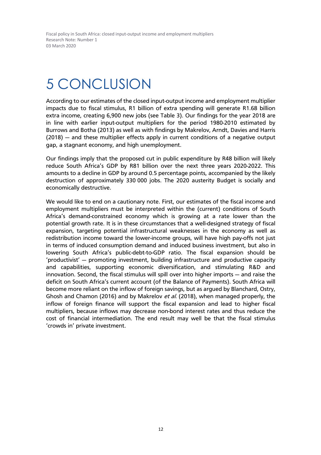# 5 CONCLUSION

According to our estimates of the closed input-output income and employment multiplier impacts due to fiscal stimulus, R1 billion of extra spending will generate R1.68 billion extra income, creating 6,900 new jobs (see Table 3). Our findings for the year 2018 are in line with earlier input-output multipliers for the period 1980-2010 estimated by Burrows and Botha (2013) as well as with findings by Makrelov, Arndt, Davies and Harris (2018) – and these multiplier effects apply in current conditions of a negative output gap, a stagnant economy, and high unemployment.

Our findings imply that the proposed cut in public expenditure by R48 billion will likely reduce South Africa's GDP by R81 billion over the next three years 2020-2022. This amounts to a decline in GDP by around 0.5 percentage points, accompanied by the likely destruction of approximately 330 000 jobs. The 2020 austerity Budget is socially and economically destructive.

We would like to end on a cautionary note. First, our estimates of the fiscal income and employment multipliers must be interpreted within the (current) conditions of South Africa's demand-constrained economy which is growing at a rate lower than the potential growth rate. It is in these circumstances that a well-designed strategy of fiscal expansion, targeting potential infrastructural weaknesses in the economy as well as redistribution income toward the lower-income groups, will have high pay-offs not just in terms of induced consumption demand and induced business investment, but also in lowering South Africa's public-debt-to-GDP ratio. The fiscal expansion should be 'productivist' – promoting investment, building infrastructure and productive capacity and capabilities, supporting economic diversification, and stimulating R&D and innovation. Second, the fiscal stimulus will spill over into higher imports – and raise the deficit on South Africa's current account (of the Balance of Payments). South Africa will become more reliant on the inflow of foreign savings, but as argued by Blanchard, Ostry, Ghosh and Chamon (2016) and by Makrelov et al. (2018), when managed properly, the inflow of foreign finance will support the fiscal expansion and lead to higher fiscal multipliers, because inflows may decrease non-bond interest rates and thus reduce the cost of financial intermediation. The end result may well be that the fiscal stimulus 'crowds in' private investment.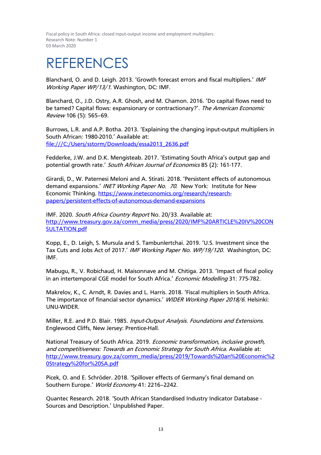### REFERENCES

Blanchard, O. and D. Leigh. 2013. 'Growth forecast errors and fiscal multipliers.' IMF Working Paper WP/13/1. Washington, DC: IMF.

Blanchard, O., J.D. Ostry, A.R. Ghosh, and M. Chamon. 2016. 'Do capital flows need to be tamed? Capital flows: expansionary or contractionary?'. The American Economic Review 106 (5): 565—69.

Burrows, L.R. and A.P. Botha. 2013. 'Explaining the changing input-output multipliers in South African: 1980-2010.' Available at: file:///C:/Users/sstorm/Downloads/essa2013\_2636.pdf

Fedderke, J.W. and D.K. Mengisteab. 2017. 'Estimating South Africa's output gap and potential growth rate.' South African Journal of Economics 85 (2): 161-177.

Girardi, D., W. Paternesi Meloni and A. Stirati. 2018. 'Persistent effects of autonomous demand expansions.' INET Working Paper No. 70. New York: Institute for New Economic Thinking. https://www.ineteconomics.org/research/researchpapers/persistent-effects-of-autonomous-demand-expansions

IMF. 2020. South Africa Country Report No. 20/33. Available at: http://www.treasury.gov.za/comm\_media/press/2020/IMF%20ARTICLE%20IV%20CON SULTATION.pdf

Kopp, E., D. Leigh, S. Mursula and S. Tambunlertchai. 2019. 'U.S. Investment since the Tax Cuts and Jobs Act of 2017.' IMF Working Paper No. WP/19/120. Washington, DC: IMF.

Mabugu, R., V. Robichaud, H. Maisonnave and M. Chitiga. 2013. 'Impact of fiscal policy in an intertemporal CGE model for South Africa.' Economic Modelling 31: 775-782.

Makrelov, K., C. Arndt, R. Davies and L. Harris. 2018. 'Fiscal multipliers in South Africa. The importance of financial sector dynamics.' WIDER Working Paper 2018/6. Helsinki: UNU-WIDER.

Miller, R.E. and P.D. Blair. 1985. Input-Output Analysis. Foundations and Extensions. Englewood Cliffs, New Jersey: Prentice-Hall.

National Treasury of South Africa. 2019. *Economic transformation, inclusive growth*, and competitiveness: Towards an Economic Strategy for South Africa. Available at: http://www.treasury.gov.za/comm\_media/press/2019/Towards%20an%20Economic%2 0Strategy%20for%20SA.pdf

Picek, O. and E. Schröder. 2018. 'Spillover effects of Germany's final demand on Southern Europe.' World Economy 41: 2216-2242.

Quantec Research. 2018. 'South African Standardised Industry Indicator Database - Sources and Description.' Unpublished Paper.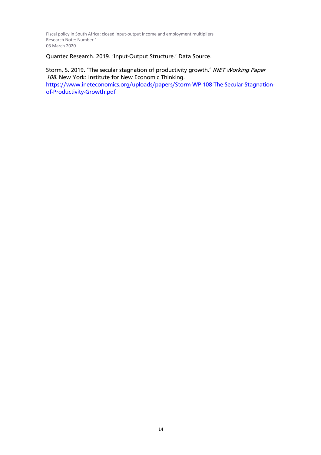Quantec Research. 2019. 'Input-Output Structure.' Data Source.

Storm, S. 2019. 'The secular stagnation of productivity growth.' INET Working Paper <sup>108</sup>. New York: Institute for New Economic Thinking. https://www.ineteconomics.org/uploads/papers/Storm-WP-108-The-Secular-Stagnationof-Productivity-Growth.pdf

14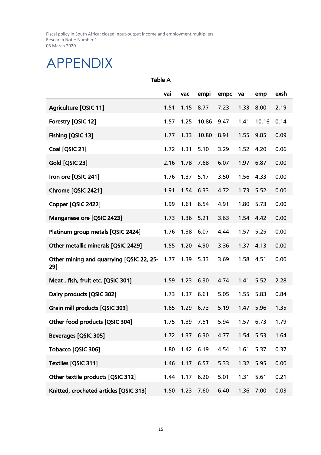### APPENDIX

Table A

|                                                 | vai  | vac  | empi  | empc | va   | emp   | exsh |
|-------------------------------------------------|------|------|-------|------|------|-------|------|
| Agriculture [QSIC 11]                           | 1.51 | 1.15 | 8.77  | 7.23 | 1.33 | 8.00  | 2.19 |
| Forestry [QSIC 12]                              | 1.57 | 1.25 | 10.86 | 9.47 | 1.41 | 10.16 | 0.14 |
| Fishing [QSIC 13]                               | 1.77 | 1.33 | 10.80 | 8.91 | 1.55 | 9.85  | 0.09 |
| Coal [QSIC 21]                                  | 1.72 | 1.31 | 5.10  | 3.29 | 1.52 | 4.20  | 0.06 |
| Gold [QSIC 23]                                  | 2.16 | 1.78 | 7.68  | 6.07 | 1.97 | 6.87  | 0.00 |
| Iron ore [QSIC 241]                             | 1.76 | 1.37 | 5.17  | 3.50 | 1.56 | 4.33  | 0.00 |
| Chrome [QSIC 2421]                              | 1.91 | 1.54 | 6.33  | 4.72 | 1.73 | 5.52  | 0.00 |
| Copper [QSIC 2422]                              | 1.99 | 1.61 | 6.54  | 4.91 | 1.80 | 5.73  | 0.00 |
| Manganese ore [QSIC 2423]                       | 1.73 | 1.36 | 5.21  | 3.63 | 1.54 | 4.42  | 0.00 |
| Platinum group metals [QSIC 2424]               | 1.76 | 1.38 | 6.07  | 4.44 | 1.57 | 5.25  | 0.00 |
| Other metallic minerals [QSIC 2429]             | 1.55 | 1.20 | 4.90  | 3.36 | 1.37 | 4.13  | 0.00 |
| Other mining and quarrying [QSIC 22, 25-<br>29] | 1.77 | 1.39 | 5.33  | 3.69 | 1.58 | 4.51  | 0.00 |
| Meat, fish, fruit etc. [QSIC 301]               | 1.59 | 1.23 | 6.30  | 4.74 | 1.41 | 5.52  | 2.28 |
| Dairy products [QSIC 302]                       | 1.73 | 1.37 | 6.61  | 5.05 | 1.55 | 5.83  | 0.84 |
| Grain mill products [QSIC 303]                  | 1.65 | 1.29 | 6.73  | 5.19 | 1.47 | 5.96  | 1.35 |
| Other food products [QSIC 304]                  | 1.75 | 1.39 | 7.51  | 5.94 | 1.57 | 6.73  | 1.79 |
| <b>Beverages [QSIC 305]</b>                     | 1.72 | 1.37 | 6.30  | 4.77 | 1.54 | 5.53  | 1.64 |
| Tobacco [QSIC 306]                              | 1.80 | 1.42 | 6.19  | 4.54 | 1.61 | 5.37  | 0.37 |
| Textiles [QSIC 311]                             | 1.46 | 1.17 | 6.57  | 5.33 | 1.32 | 5.95  | 0.00 |
| Other textile products [QSIC 312]               | 1.44 | 1.17 | 6.20  | 5.01 | 1.31 | 5.61  | 0.21 |
| Knitted, crocheted articles [QSIC 313]          | 1.50 | 1.23 | 7.60  | 6.40 | 1.36 | 7.00  | 0.03 |

15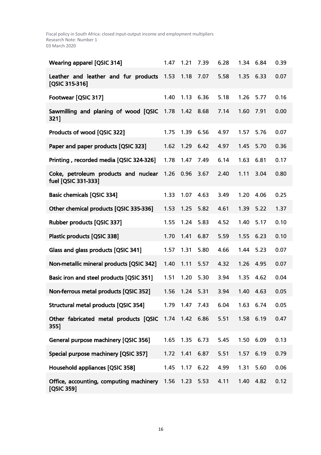| <b>Wearing apparel [QSIC 314]</b>                            | 1.47 | 1.21             | 7.39 | 6.28 | 1.34 | 6.84 | 0.39 |
|--------------------------------------------------------------|------|------------------|------|------|------|------|------|
| Leather and leather and fur products<br>[QSIC 315-316]       | 1.53 | 1.18             | 7.07 | 5.58 | 1.35 | 6.33 | 0.07 |
| Footwear [QSIC 317]                                          | 1.40 | 1.13             | 6.36 | 5.18 | 1.26 | 5.77 | 0.16 |
| Sawmilling and planing of wood [QSIC<br>321]                 | 1.78 | 1.42             | 8.68 | 7.14 | 1.60 | 7.91 | 0.00 |
| Products of wood [QSIC 322]                                  | 1.75 | 1.39             | 6.56 | 4.97 | 1.57 | 5.76 | 0.07 |
| Paper and paper products [QSIC 323]                          | 1.62 | 1.29             | 6.42 | 4.97 | 1.45 | 5.70 | 0.36 |
| Printing, recorded media [QSIC 324-326]                      | 1.78 | 1.47             | 7.49 | 6.14 | 1.63 | 6.81 | 0.17 |
| Coke, petroleum products and nuclear<br>fuel [QSIC 331-333]  | 1.26 | 0.96             | 3.67 | 2.40 | 1.11 | 3.04 | 0.80 |
| <b>Basic chemicals [QSIC 334]</b>                            | 1.33 | 1.07             | 4.63 | 3.49 | 1.20 | 4.06 | 0.25 |
| Other chemical products [QSIC 335-336]                       | 1.53 | 1.25             | 5.82 | 4.61 | 1.39 | 5.22 | 1.37 |
| Rubber products [QSIC 337]                                   | 1.55 | 1.24             | 5.83 | 4.52 | 1.40 | 5.17 | 0.10 |
| Plastic products [QSIC 338]                                  | 1.70 | 1.41             | 6.87 | 5.59 | 1.55 | 6.23 | 0.10 |
| Glass and glass products [QSIC 341]                          | 1.57 | 1.31             | 5.80 | 4.66 | 1.44 | 5.23 | 0.07 |
| Non-metallic mineral products [QSIC 342]                     | 1.40 | 1.11             | 5.57 | 4.32 | 1.26 | 4.95 | 0.07 |
| Basic iron and steel products [QSIC 351]                     | 1.51 | 1.20             | 5.30 | 3.94 | 1.35 | 4.62 | 0.04 |
| Non-ferrous metal products [QSIC 352]                        | 1.56 | 1.24             | 5.31 | 3.94 | 1.40 | 4.63 | 0.05 |
| Structural metal products [QSIC 354]                         | 1.79 | 1.47 7.43        |      | 6.04 | 1.63 | 6.74 | 0.05 |
| Other fabricated metal products [QSIC 1.74 1.42 6.86<br>355] |      |                  |      | 5.51 | 1.58 | 6.19 | 0.47 |
| <b>General purpose machinery [QSIC 356]</b>                  | 1.65 | 1.35             | 6.73 | 5.45 | 1.50 | 6.09 | 0.13 |
| Special purpose machinery [QSIC 357]                         |      | 1.72  1.41  6.87 |      | 5.51 | 1.57 | 6.19 | 0.79 |
| Household appliances [QSIC 358]                              | 1.45 | 1.17             | 6.22 | 4.99 | 1.31 | 5.60 | 0.06 |
| Office, accounting, computing machinery<br>[QSIC 359]        |      | 1.56 1.23 5.53   |      | 4.11 | 1.40 | 4.82 | 0.12 |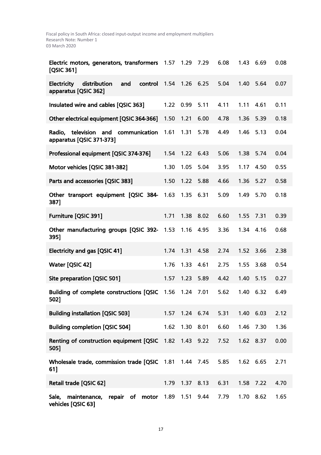| Electric motors, generators, transformers<br>[QSIC 361]               | 1.57             | 1.29      | 7.29      | 6.08 | 1.43      | 6.69 | 0.08 |
|-----------------------------------------------------------------------|------------------|-----------|-----------|------|-----------|------|------|
| Electricity<br>distribution<br>and<br>control<br>apparatus [QSIC 362] | 1.54             | 1.26      | 6.25      | 5.04 | 1.40      | 5.64 | 0.07 |
| Insulated wire and cables [QSIC 363]                                  | 1.22             | 0.99      | 5.11      | 4.11 | 1.11      | 4.61 | 0.11 |
| Other electrical equipment [QSIC 364-366]                             | 1.50             | 1.21      | 6.00      | 4.78 | 1.36      | 5.39 | 0.18 |
| television and<br>Radio,<br>communication<br>apparatus [QSIC 371-373] | 1.61             | 1.31      | 5.78      | 4.49 | 1.46      | 5.13 | 0.04 |
| Professional equipment [QSIC 374-376]                                 | 1.54             | 1.22      | 6.43      | 5.06 | 1.38      | 5.74 | 0.04 |
| Motor vehicles [QSIC 381-382]                                         | 1.30             | 1.05      | 5.04      | 3.95 | 1.17      | 4.50 | 0.55 |
| Parts and accessories [QSIC 383]                                      | 1.50             | 1.22      | 5.88      | 4.66 | 1.36      | 5.27 | 0.58 |
| Other transport equipment [QSIC 384- 1.63<br>387]                     |                  | 1.35      | 6.31      | 5.09 | 1.49      | 5.70 | 0.18 |
| Furniture [QSIC 391]                                                  | 1.71             | 1.38      | 8.02      | 6.60 | 1.55      | 7.31 | 0.39 |
| Other manufacturing groups [QSIC 392- 1.53<br>395]                    |                  | 1.16      | 4.95      | 3.36 | 1.34      | 4.16 | 0.68 |
| <b>Electricity and gas [QSIC 41]</b>                                  | 1.74             | 1.31      | 4.58      | 2.74 | 1.52      | 3.66 | 2.38 |
| Water [QSIC 42]                                                       | 1.76             | 1.33      | 4.61      | 2.75 | 1.55      | 3.68 | 0.54 |
| Site preparation [QSIC 501]                                           | 1.57             | 1.23      | 5.89      | 4.42 | 1.40      | 5.15 | 0.27 |
| Building of complete constructions [QSIC<br>502]                      | 1.56             | 1.24      | 7.01      | 5.62 | 1.40      | 6.32 | 6.49 |
| <b>Building installation [QSIC 503]</b>                               | 1.57             | 1.24 6.74 |           | 5.31 | 1.40      | 6.03 | 2.12 |
| <b>Building completion [QSIC 504]</b>                                 | 1.62             | 1.30      | 8.01      | 6.60 | 1.46      | 7.30 | 1.36 |
| Renting of construction equipment [QSIC 1.82 1.43 9.22<br>505]        |                  |           |           | 7.52 | 1.62 8.37 |      | 0.00 |
| Wholesale trade, commission trade [QSIC<br>61]                        | 1.81  1.44  7.45 |           |           | 5.85 | 1.62      | 6.65 | 2.71 |
| Retail trade [QSIC 62]                                                | 1.79             | 1.37 8.13 |           | 6.31 | 1.58      | 7.22 | 4.70 |
| repair of motor<br>Sale, maintenance,<br>vehicles [QSIC 63]           | 1.89             |           | 1.51 9.44 | 7.79 | 1.70      | 8.62 | 1.65 |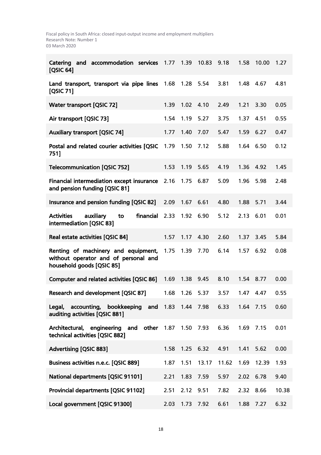| and accommodation services<br>Catering<br>[QSIC 64]                                                      | 1.77 | 1.39      | 10.83 | 9.18  | 1.58      | 10.00 | 1.27  |
|----------------------------------------------------------------------------------------------------------|------|-----------|-------|-------|-----------|-------|-------|
| Land transport, transport via pipe lines<br><b>[QSIC 71]</b>                                             | 1.68 | 1.28      | 5.54  | 3.81  | 1.48      | 4.67  | 4.81  |
| <b>Water transport [QSIC 72]</b>                                                                         | 1.39 | 1.02      | 4.10  | 2.49  | 1.21      | 3.30  | 0.05  |
| Air transport [QSIC 73]                                                                                  | 1.54 | 1.19      | 5.27  | 3.75  | 1.37      | 4.51  | 0.55  |
| <b>Auxiliary transport [QSIC 74]</b>                                                                     | 1.77 | 1.40      | 7.07  | 5.47  | 1.59      | 6.27  | 0.47  |
| Postal and related courier activities [QSIC<br>751]                                                      | 1.79 | 1.50      | 7.12  | 5.88  | 1.64      | 6.50  | 0.12  |
| <b>Telecommunication [QSIC 752]</b>                                                                      | 1.53 | 1.19      | 5.65  | 4.19  | 1.36      | 4.92  | 1.45  |
| Financial intermediation except insurance<br>and pension funding [QSIC 81]                               | 2.16 | 1.75      | 6.87  | 5.09  | 1.96      | 5.98  | 2.48  |
| Insurance and pension funding [QSIC 82]                                                                  | 2.09 | 1.67      | 6.61  | 4.80  | 1.88      | 5.71  | 3.44  |
| <b>Activities</b><br>financial<br>auxiliary<br>to<br>intermediation [QSIC 83]                            | 2.33 | 1.92      | 6.90  | 5.12  | 2.13      | 6.01  | 0.01  |
| Real estate activities [QSIC 84]                                                                         | 1.57 | 1.17      | 4.30  | 2.60  | 1.37      | 3.45  | 5.84  |
| Renting of machinery and equipment,<br>without operator and of personal and<br>household goods [QSIC 85] | 1.75 | 1.39      | 7.70  | 6.14  | 1.57      | 6.92  | 0.08  |
| Computer and related activities [QSIC 86]                                                                | 1.69 | 1.38      | 9.45  | 8.10  | 1.54      | 8.77  | 0.00  |
| Research and development [QSIC 87]                                                                       | 1.68 | 1.26      | 5.37  | 3.57  | 1.47      | 4.47  | 0.55  |
| Legal, accounting, bookkeeping and 1.83 1.44 7.98<br>auditing activities [QSIC 881]                      |      |           |       | 6.33  | 1.64 7.15 |       | 0.60  |
| Architectural, engineering and other 1.87<br>technical activities [QSIC 882]                             |      | 1.50 7.93 |       | 6.36  | 1.69      | 7.15  | 0.01  |
| <b>Advertising [QSIC 883]</b>                                                                            | 1.58 | 1.25 6.32 |       | 4.91  | 1.41      | 5.62  | 0.00  |
| Business activities n.e.c. [QSIC 889]                                                                    | 1.87 | 1.51      | 13.17 | 11.62 | 1.69      | 12.39 | 1.93  |
| <b>National departments [QSIC 91101]</b>                                                                 | 2.21 | 1.83      | 7.59  | 5.97  | 2.02      | 6.78  | 9.40  |
| <b>Provincial departments [QSIC 91102]</b>                                                               | 2.51 | 2.12      | 9.51  | 7.82  | 2.32      | 8.66  | 10.38 |
| Local government [QSIC 91300]                                                                            | 2.03 | 1.73 7.92 |       | 6.61  | 1.88      | 7.27  | 6.32  |